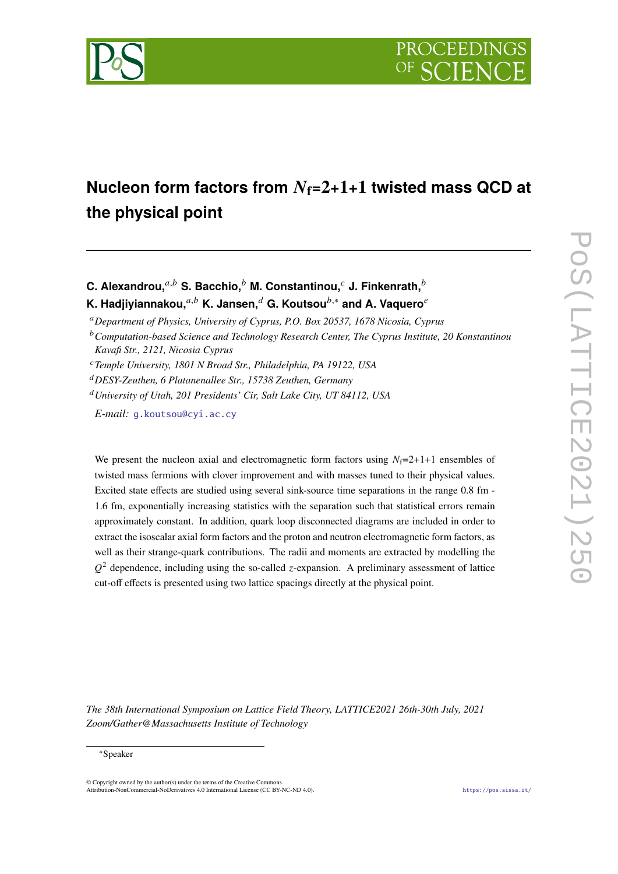

# **Nucleon form factors from**  $N_f=2+1+1$  **twisted mass QCD at the physical point**

**C. Alexandrou,**  $a,b$  S. Bacchio,  $b$  M. Constantinou,  $c$  J. Finkenrath,  $b$ **K. Hadjiyiannakou,**<sup>*a,b*</sup> **K. Jansen,**<sup>*d*</sup> **G. Koutsou**<sup>*b*,∗</sup> and A. Vaquero<sup>*e*</sup>

*Department of Physics, University of Cyprus, P.O. Box 20537, 1678 Nicosia, Cyprus*

*DESY-Zeuthen, 6 Platanenallee Str., 15738 Zeuthen, Germany*

*University of Utah, 201 Presidents' Cir, Salt Lake City, UT 84112, USA*

*E-mail:* [g.koutsou@cyi.ac.cy](mailto:g.koutsou@cyi.ac.cy)

We present the nucleon axial and electromagnetic form factors using  $N_f=2+1+1$  ensembles of twisted mass fermions with clover improvement and with masses tuned to their physical values. Excited state effects are studied using several sink-source time separations in the range 0.8 fm - 1.6 fm, exponentially increasing statistics with the separation such that statistical errors remain approximately constant. In addition, quark loop disconnected diagrams are included in order to extract the isoscalar axial form factors and the proton and neutron electromagnetic form factors, as well as their strange-quark contributions. The radii and moments are extracted by modelling the  $Q^2$  dependence, including using the so-called *z*-expansion. A preliminary assessment of lattice cut-off effects is presented using two lattice spacings directly at the physical point.

*The 38th International Symposium on Lattice Field Theory, LATTICE2021 26th-30th July, 2021 Zoom/Gather@Massachusetts Institute of Technology*

### ∗Speaker

 $\odot$  Copyright owned by the author(s) under the terms of the Creative Common Attribution-NonCommercial-NoDerivatives 4.0 International License (CC BY-NC-ND 4.0). <https://pos.sissa.it/>

*Computation-based Science and Technology Research Center, The Cyprus Institute, 20 Konstantinou Kavafi Str., 2121, Nicosia Cyprus*

*Temple University, 1801 N Broad Str., Philadelphia, PA 19122, USA*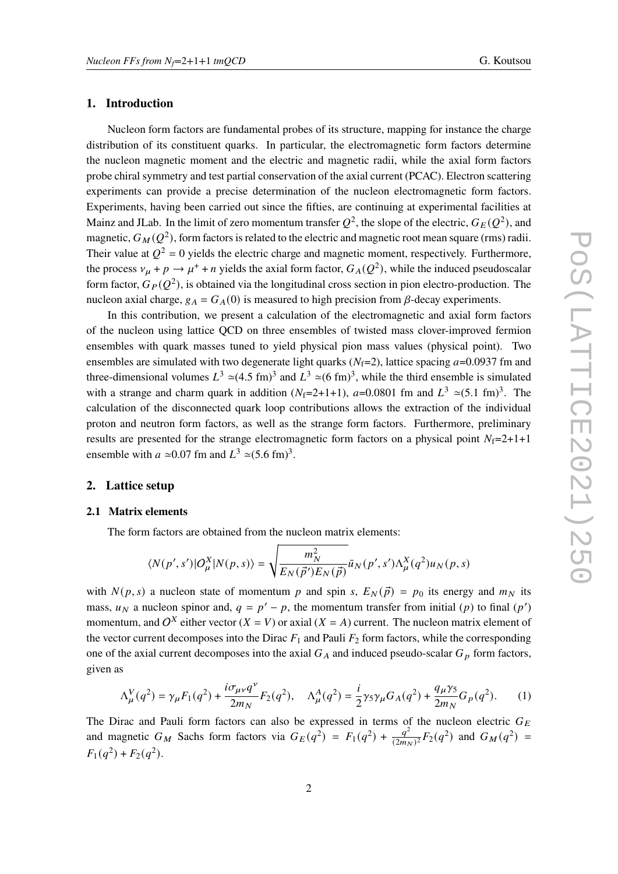# **1. Introduction**

Nucleon form factors are fundamental probes of its structure, mapping for instance the charge distribution of its constituent quarks. In particular, the electromagnetic form factors determine the nucleon magnetic moment and the electric and magnetic radii, while the axial form factors probe chiral symmetry and test partial conservation of the axial current (PCAC). Electron scattering experiments can provide a precise determination of the nucleon electromagnetic form factors. Experiments, having been carried out since the fifties, are continuing at experimental facilities at Mainz and JLab. In the limit of zero momentum transfer  $Q^2$ , the slope of the electric,  $G_E(Q^2)$ , and magnetic,  $G_M(Q^2)$ , form factors is related to the electric and magnetic root mean square (rms) radii. Their value at  $Q^2 = 0$  yields the electric charge and magnetic moment, respectively. Furthermore, the process  $v_{\mu} + p \rightarrow \mu^+ + n$  yields the axial form factor,  $G_A(Q^2)$ , while the induced pseudoscalar form factor,  $G_P(Q^2)$ , is obtained via the longitudinal cross section in pion electro-production. The nucleon axial charge,  $g_A = G_A(0)$  is measured to high precision from  $\beta$ -decay experiments.

In this contribution, we present a calculation of the electromagnetic and axial form factors of the nucleon using lattice QCD on three ensembles of twisted mass clover-improved fermion ensembles with quark masses tuned to yield physical pion mass values (physical point). Two ensembles are simulated with two degenerate light quarks ( $N_f=2$ ), lattice spacing  $a=0.0937$  fm and three-dimensional volumes  $L^3 \simeq (4.5 \text{ fm})^3$  and  $L^3 \simeq (6 \text{ fm})^3$ , while the third ensemble is simulated with a strange and charm quark in addition ( $N_f$ =2+1+1),  $a$ =0.0801 fm and  $L^3 \approx (5.1 \text{ fm})^3$ . The calculation of the disconnected quark loop contributions allows the extraction of the individual proton and neutron form factors, as well as the strange form factors. Furthermore, preliminary results are presented for the strange electromagnetic form factors on a physical point  $N_f=2+1+1$ ensemble with  $a \approx 0.07$  fm and  $L^3 \approx (5.6 \text{ fm})^3$ .

## **2. Lattice setup**

#### **2.1 Matrix elements**

The form factors are obtained from the nucleon matrix elements:

$$
\langle N(p',s')|O^X_\mu|N(p,s)\rangle=\sqrt{\frac{m_N^2}{E_N(\vec{p}')E_N(\vec{p})}}\bar{u}_N(p',s')\Lambda^X_\mu(q^2)u_N(p,s)
$$

with  $N(p, s)$  a nucleon state of momentum p and spin s,  $E_N(\vec{p}) = p_0$  its energy and  $m_N$  its mass,  $u_N$  a nucleon spinor and,  $q = p' - p$ , the momentum transfer from initial (p) to final (p') momentum, and O<sup>X</sup> either vector  $(X = V)$  or axial  $(X = A)$  current. The nucleon matrix element of the vector current decomposes into the Dirac  $F_1$  and Pauli  $F_2$  form factors, while the corresponding one of the axial current decomposes into the axial  $G_A$  and induced pseudo-scalar  $G_p$  form factors, given as

$$
\Lambda^V_\mu(q^2) = \gamma_\mu F_1(q^2) + \frac{i\sigma_{\mu\nu}q^\nu}{2m_N} F_2(q^2), \quad \Lambda^A_\mu(q^2) = \frac{i}{2}\gamma_5\gamma_\mu G_A(q^2) + \frac{q_\mu\gamma_5}{2m_N} G_p(q^2). \tag{1}
$$

The Dirac and Pauli form factors can also be expressed in terms of the nucleon electric  $G_F$ and magnetic  $G_M$  Sachs form factors via  $G_E(q^2) = F_1(q^2) + \frac{q^2}{(2m)}$  $\frac{q^2}{(2m_N)^2}F_2(q^2)$  and  $G_M(q^2)$  =  $F_1(q^2) + F_2(q^2)$ .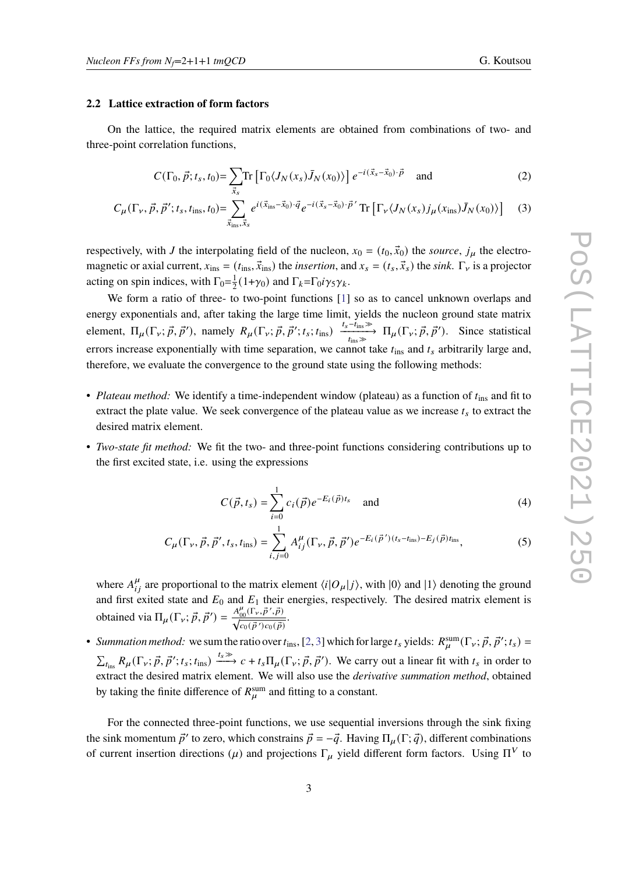#### <span id="page-2-0"></span>**2.2 Lattice extraction of form factors**

On the lattice, the required matrix elements are obtained from combinations of two- and three-point correlation functions,

$$
C(\Gamma_0, \vec{p}; t_s, t_0) = \sum_{\vec{x}_s} \text{Tr} \left[ \Gamma_0 \langle J_N(x_s) \bar{J}_N(x_0) \rangle \right] e^{-i(\vec{x}_s - \vec{x}_0) \cdot \vec{p}} \quad \text{and} \tag{2}
$$

$$
C_{\mu}(\Gamma_{\nu}, \vec{p}, \vec{p}'; t_s, t_{\text{ins}}, t_0) = \sum_{\vec{x}_{\text{ins}}, \vec{x}_s}^{\infty} e^{i(\vec{x}_{\text{ins}} - \vec{x}_0) \cdot \vec{q}} e^{-i(\vec{x}_s - \vec{x}_0) \cdot \vec{p}'} \text{Tr}\left[\Gamma_{\nu} \langle J_N(x_s) j_{\mu}(x_{\text{ins}}) \bar{J}_N(x_0) \rangle\right]
$$
(3)

respectively, with *J* the interpolating field of the nucleon,  $x_0 = (t_0, \vec{x}_0)$  the *source*,  $j_\mu$  the electromagnetic or axial current,  $x_{ins} = (t_{ins}, \vec{x}_{ins})$  the *insertion*, and  $x_s = (t_s, \vec{x}_s)$  the *sink*.  $\Gamma_v$  is a projector acting on spin indices, with  $\Gamma_0 = \frac{1}{2}$  $\frac{1}{2}(1+\gamma_0)$  and  $\Gamma_k = \Gamma_0 i \gamma_5 \gamma_k$ .

We form a ratio of three- to two-point functions [\[1\]](#page-10-0) so as to cancel unknown overlaps and energy exponentials and, after taking the large time limit, yields the nucleon ground state matrix element,  $\Pi_{\mu}(\Gamma_{\nu}; \vec{p}, \vec{p}'),$  namely  $R_{\mu}(\Gamma_{\nu}; \vec{p}, \vec{p}'; t_s; t_{ins}) \xrightarrow[t_{ins}]\text{max} \Pi_{\mu}(\Gamma_{\nu}; \vec{p}, \vec{p}').$  Since statistical errors increase exponentially with time separation, we cannot take  $t_{ins}$  and  $t_s$  arbitrarily large and, therefore, we evaluate the convergence to the ground state using the following methods:

- *Plateau method:* We identify a time-independent window (plateau) as a function of  $t_{ins}$  and fit to extract the plate value. We seek convergence of the plateau value as we increase  $t_s$  to extract the desired matrix element.
- *Two-state fit method:* We fit the two- and three-point functions considering contributions up to the first excited state, i.e. using the expressions

$$
C(\vec{p}, t_s) = \sum_{i=0}^{1} c_i(\vec{p}) e^{-E_i(\vec{p})t_s} \text{ and } (4)
$$

$$
C_{\mu}(\Gamma_{\nu}, \vec{p}, \vec{p}', t_{s}, t_{\text{ins}}) = \sum_{i,j=0}^{1} A_{ij}^{\mu}(\Gamma_{\nu}, \vec{p}, \vec{p}') e^{-E_{i}(\vec{p}')(t_{s} - t_{\text{ins}}) - E_{j}(\vec{p})t_{\text{ins}}},
$$
(5)

where  $A_{ij}^{\mu}$  are proportional to the matrix element  $\langle i|O_{\mu}|j\rangle$ , with  $|0\rangle$  and  $|1\rangle$  denoting the ground and first exited state and  $E_0$  and  $E_1$  their energies, respectively. The desired matrix element is obtained via  $\Pi_{\mu}(\Gamma_{\nu}; \vec{p}, \vec{p}') = \frac{A_{00}^{\mu}(\Gamma_{\nu}, \vec{p}', \vec{p})}{\sqrt{c_0(\vec{p}')c_0(\vec{p})}}$ .

• *Summation method:* we sum the ratio over  $t_{ins}$ , [\[2,](#page-10-1) [3\]](#page-10-2) which for large  $t_s$  yields:  $R_u^{sum}(\Gamma_v; \vec{p}, \vec{p}'; t_s)$  =  $\sum_{t_{ins}} R_{\mu}(\Gamma_{\nu}; \vec{p}, \vec{p}'; t_s; t_{ins}) \xrightarrow{t_s \gg} c + t_s \Pi_{\mu}(\Gamma_{\nu}; \vec{p}, \vec{p}').$  We carry out a linear fit with  $t_s$  in order to extract the desired matrix element. We will also use the *derivative summation method*, obtained by taking the finite difference of  $R_{\mu}^{\text{sum}}$  and fitting to a constant.

For the connected three-point functions, we use sequential inversions through the sink fixing the sink momentum  $\vec{p}'$  to zero, which constrains  $\vec{p} = -\vec{q}$ . Having  $\Pi_{\mu}(\Gamma; \vec{q})$ , different combinations of current insertion directions ( $\mu$ ) and projections  $\Gamma_{\mu}$  yield different form factors. Using  $\Pi^{V}$  to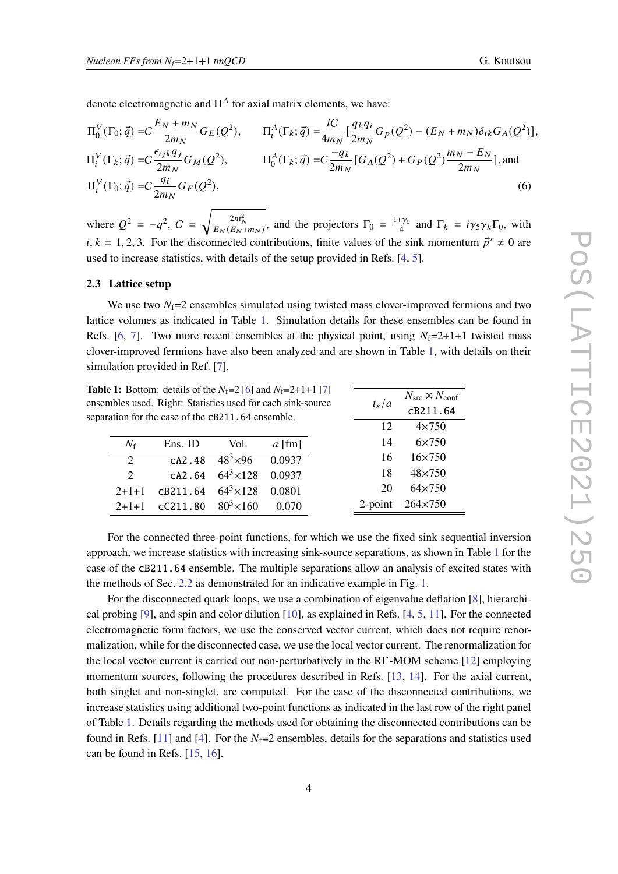denote electromagnetic and  $\Pi^A$  for axial matrix elements, we have:

$$
\Pi_{0}^{V}(\Gamma_{0};\vec{q}) = C \frac{E_{N} + m_{N}}{2m_{N}} G_{E}(Q^{2}), \qquad \Pi_{i}^{A}(\Gamma_{k};\vec{q}) = \frac{iC}{4m_{N}} \left[ \frac{q_{k}q_{i}}{2m_{N}} G_{p}(Q^{2}) - (E_{N} + m_{N}) \delta_{ik} G_{A}(Q^{2}) \right],
$$
  
\n
$$
\Pi_{i}^{V}(\Gamma_{k};\vec{q}) = C \frac{\epsilon_{ijk}q_{j}}{2m_{N}} G_{M}(Q^{2}), \qquad \Pi_{0}^{A}(\Gamma_{k};\vec{q}) = C \frac{-q_{k}}{2m_{N}} \left[ G_{A}(Q^{2}) + G_{P}(Q^{2}) \frac{m_{N} - E_{N}}{2m_{N}} \right],
$$
 and  
\n
$$
\Pi_{i}^{V}(\Gamma_{0};\vec{q}) = C \frac{q_{i}}{2m_{N}} G_{E}(Q^{2}), \qquad (6)
$$

where  $Q^2 = -q^2$ ,  $C = \sqrt{\frac{2m_N^2}{E_N(E_N+m_N)}}$ , and the projectors  $\Gamma_0 = \frac{1+\gamma_0}{4}$  and  $\Gamma_k = i\gamma_5\gamma_k\Gamma_0$ , with  $i, k = 1, 2, 3$ . For the disconnected contributions, finite values of the sink momentum  $\vec{p}' \neq 0$  are used to increase statistics, with details of the setup provided in Refs. [\[4,](#page-10-3) [5\]](#page-10-4).

#### **2.3 Lattice setup**

We use two  $N_f=2$  ensembles simulated using twisted mass clover-improved fermions and two lattice volumes as indicated in Table [1.](#page-3-0) Simulation details for these ensembles can be found in Refs. [\[6,](#page-10-5) [7\]](#page-10-6). Two more recent ensembles at the physical point, using  $N_f=2+1+1$  twisted mass clover-improved fermions have also been analyzed and are shown in Table [1,](#page-3-0) with details on their simulation provided in Ref. [\[7\]](#page-10-6).

 $t_s/a$ 

<span id="page-3-1"></span> $N_{\rm src} \times N_{\rm conf}$ cB211.64

<span id="page-3-0"></span>**Table 1:** Bottom: details of the  $N_f=2$  [\[6\]](#page-10-5) and  $N_f=2+1+1$  [\[7\]](#page-10-6) ensembles used. Right: Statistics used for each sink-source separation for the case of the cB211.64 ensemble.

|                             | auvn ivi ule ease of ule <b>con</b> film i emstiller. |                                     |          | 12 | $4\times750$           |
|-----------------------------|-------------------------------------------------------|-------------------------------------|----------|----|------------------------|
| $N_f$                       | Ens. ID                                               | Vol.                                | $a$ [fm] | 14 | $6\times750$           |
| $\mathcal{D}_{\mathcal{L}}$ |                                                       | cA2.48 $48^3 \times 96$ 0.0937      |          | 16 | $16 \times 750$        |
| 2 <sup>1</sup>              |                                                       | $CA2.64$ $64^{3} \times 128$ 0.0937 |          | 18 | 48×750                 |
|                             | $2+1+1$ cB211.64 64 <sup>3</sup> ×128 0.0801          |                                     |          | 20 | 64×750                 |
|                             | $2+1+1$ cC211.80 $80^3 \times 160$ 0.070              |                                     |          |    | 2-point $264\times750$ |

For the connected three-point functions, for which we use the fixed sink sequential inversion approach, we increase statistics with increasing sink-source separations, as shown in Table [1](#page-3-0) for the case of the cB211.64 ensemble. The multiple separations allow an analysis of excited states with the methods of Sec. [2.2](#page-2-0) as demonstrated for an indicative example in Fig. [1.](#page-4-0)

For the disconnected quark loops, we use a combination of eigenvalue deflation [\[8\]](#page-10-7), hierarchical probing [\[9\]](#page-10-8), and spin and color dilution [\[10\]](#page-10-9), as explained in Refs. [\[4,](#page-10-3) [5,](#page-10-4) [11\]](#page-10-10). For the connected electromagnetic form factors, we use the conserved vector current, which does not require renormalization, while for the disconnected case, we use the local vector current. The renormalization for the local vector current is carried out non-perturbatively in the RI'-MOM scheme [\[12\]](#page-10-11) employing momentum sources, following the procedures described in Refs. [\[13,](#page-10-12) [14\]](#page-11-0). For the axial current, both singlet and non-singlet, are computed. For the case of the disconnected contributions, we increase statistics using additional two-point functions as indicated in the last row of the right panel of Table [1.](#page-3-0) Details regarding the methods used for obtaining the disconnected contributions can be found in Refs. [\[11\]](#page-10-10) and [\[4\]](#page-10-3). For the  $N_f=2$  ensembles, details for the separations and statistics used can be found in Refs. [\[15,](#page-11-1) [16\]](#page-11-2).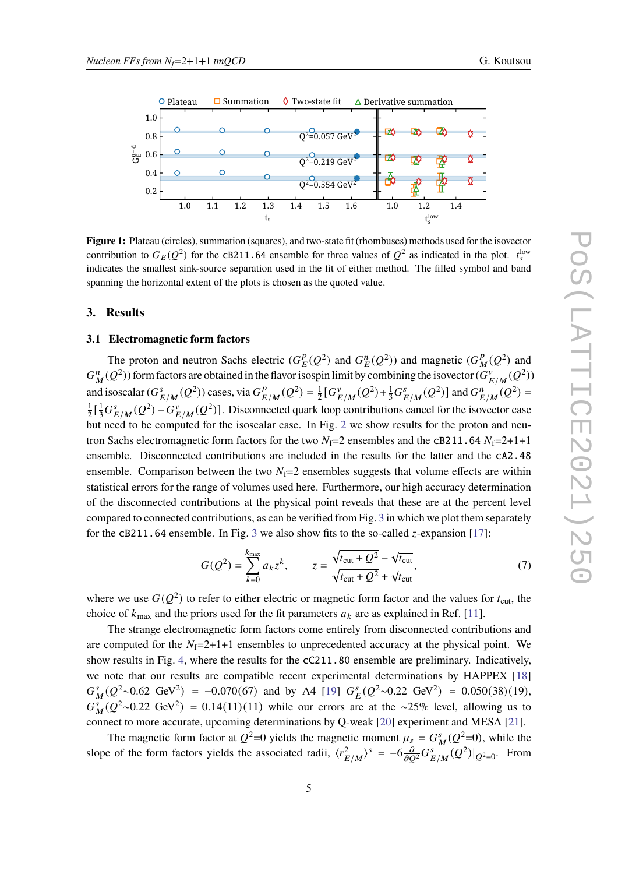<span id="page-4-0"></span>

**Figure 1:** Plateau (circles), summation (squares), and two-state fit (rhombuses) methods used for the isovector contribution to  $G_E(Q^2)$  for the cB211.64 ensemble for three values of  $Q^2$  as indicated in the plot.  $t_s^{\text{low}}$ indicates the smallest sink-source separation used in the fit of either method. The filled symbol and band spanning the horizontal extent of the plots is chosen as the quoted value.

## **3. Results**

#### **3.1 Electromagnetic form factors**

The proton and neutron Sachs electric  $(G_r^p)$  $L^p(\mathcal{Q}^2)$  and  $G_E^n(\mathcal{Q}^2)$  and magnetic  $(G_R^p)$  $\frac{p}{M}(Q^2)$  and  $G_M^n(Q^2)$ ) form factors are obtained in the flavor isospin limit by combining the isovector  $(G_H^n)$  $E/M^{v}(Q^2)$ and isoscalar  $(G^s)$  $_{E/M}^s(Q^2)$ ) cases, via  $G_E^p$  $_{E/M}^p(Q^2) = \frac{1}{2}$  $\frac{1}{2} [G_F^v]$  $E/M^{v}(Q^2) + \frac{1}{3}G_L^s$  $_{E/M}^s(Q^2)$ ] and  $G_R^n$  $\sum_{E/M}^{n} (Q^2) =$ 1  $\frac{1}{2}$ [ $\frac{1}{3}G_f^s$  $\sum_{E/M}^{s}(Q^2) - G_F^{\nu}$  $\sum_{E/M}^{V}(Q^2)$ . Disconnected quark loop contributions cancel for the isovector case but need to be computed for the isoscalar case. In Fig. [2](#page-5-0) we show results for the proton and neutron Sachs electromagnetic form factors for the two  $N_f=2$  ensembles and the cB211.64  $N_f=2+1+1$ ensemble. Disconnected contributions are included in the results for the latter and the cA2.48 ensemble. Comparison between the two  $N_f=2$  ensembles suggests that volume effects are within statistical errors for the range of volumes used here. Furthermore, our high accuracy determination of the disconnected contributions at the physical point reveals that these are at the percent level compared to connected contributions, as can be verified from Fig. [3](#page-5-1) in which we plot them separately for the cB211.64 ensemble. In Fig. [3](#page-5-1) we also show fits to the so-called  $z$ -expansion [\[17\]](#page-11-3):

$$
G(Q^{2}) = \sum_{k=0}^{k_{\text{max}}} a_{k} z^{k}, \qquad z = \frac{\sqrt{t_{\text{cut}} + Q^{2}} - \sqrt{t_{\text{cut}}}}{\sqrt{t_{\text{cut}} + Q^{2}} + \sqrt{t_{\text{cut}}}},
$$
(7)

where we use  $G(Q^2)$  to refer to either electric or magnetic form factor and the values for  $t_{\text{cut}}$ , the choice of  $k_{\text{max}}$  and the priors used for the fit parameters  $a_k$  are as explained in Ref. [\[11\]](#page-10-10).

The strange electromagnetic form factors come entirely from disconnected contributions and are computed for the  $N_f=2+1+1$  ensembles to unprecedented accuracy at the physical point. We show results in Fig. [4,](#page-6-0) where the results for the cC211.80 ensemble are preliminary. Indicatively, we note that our results are compatible recent experimental determinations by HAPPEX [\[18\]](#page-11-4)  $G_M^s(Q^2 \sim 0.62 \text{ GeV}^2) = -0.070(67)$  and by A4 [\[19\]](#page-11-5)  $G_E^s(Q^2 \sim 0.22 \text{ GeV}^2) = 0.050(38)(19)$ ,  $G_M^s(Q^2 \sim 0.22 \text{ GeV}^2) = 0.14(11)(11)$  while our errors are at the ~25% level, allowing us to connect to more accurate, upcoming determinations by Q-weak [\[20\]](#page-11-6) experiment and MESA [\[21\]](#page-11-7).

The magnetic form factor at  $Q^2=0$  yields the magnetic moment  $\mu_s = G_M^s(Q^2=0)$ , while the slope of the form factors yields the associated radii,  $\langle r_i^2 \rangle$  $\frac{2}{E/M}$ )<sup>s</sup> = -6 $\frac{\partial}{\partial Q^2} G_B^s$  $\sum_{E/M}^{s} (Q^2)|_{Q^2=0}$ . From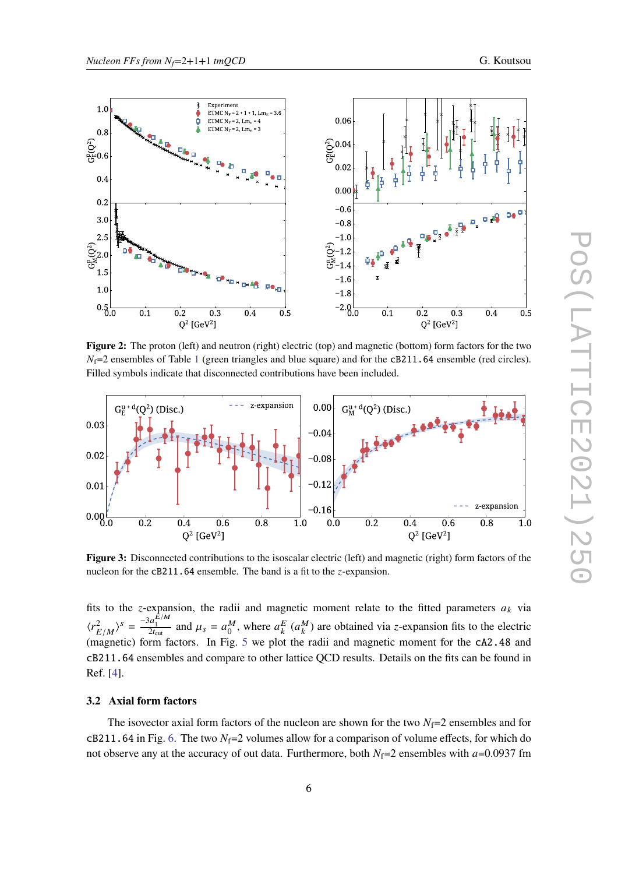<span id="page-5-0"></span>

**Figure 2:** The proton (left) and neutron (right) electric (top) and magnetic (bottom) form factors for the two  $N_f$ =2 ensembles of Table [1](#page-3-0) (green triangles and blue square) and for the cB211.64 ensemble (red circles). Filled symbols indicate that disconnected contributions have been included.

<span id="page-5-1"></span>

**Figure 3:** Disconnected contributions to the isoscalar electric (left) and magnetic (right) form factors of the nucleon for the  $cB211.64$  ensemble. The band is a fit to the  $z$ -expansion.

fits to the z-expansion, the radii and magnetic moment relate to the fitted parameters  $a_k$  via  $\langle r_\nu^2 \rangle$  $\left(\frac{2}{E/M}\right)^s = \frac{-3a_1^{\tilde{E}/M}}{2t_{\text{cut}}}$  and  $\mu_s = a_0^M$ , where  $a_k^E$   $\left(a_k^M\right)$  are obtained via z-expansion fits to the electric (magnetic) form factors. In Fig. [5](#page-6-1) we plot the radii and magnetic moment for the cA2.48 and cB211.64 ensembles and compare to other lattice QCD results. Details on the fits can be found in Ref. [\[4\]](#page-10-3).

# **3.2 Axial form factors**

The isovector axial form factors of the nucleon are shown for the two  $N_f=2$  ensembles and for cB211.64 in Fig. [6.](#page-7-0) The two  $N_f=2$  volumes allow for a comparison of volume effects, for which do not observe any at the accuracy of out data. Furthermore, both  $N_f=2$  ensembles with  $a=0.0937$  fm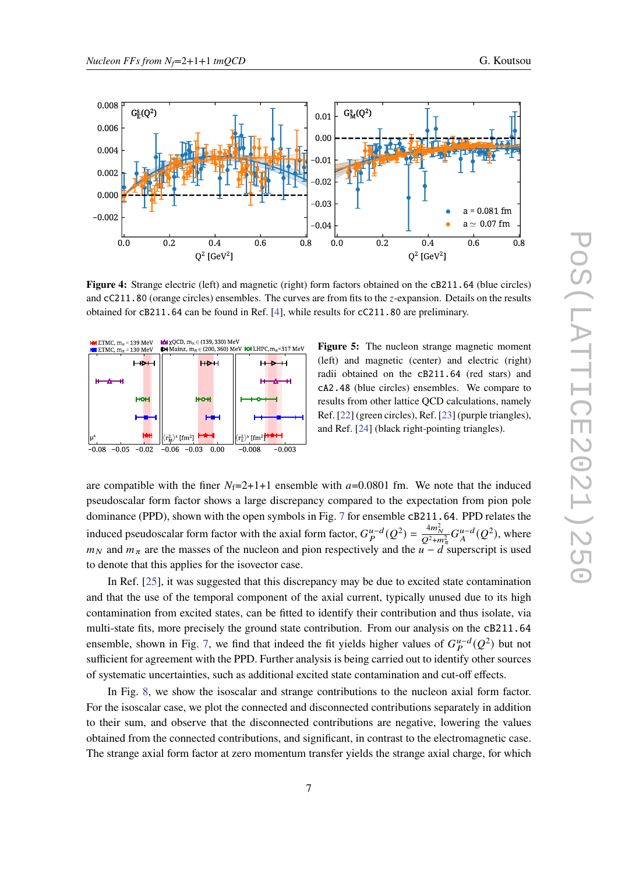<span id="page-6-0"></span>

Figure 4: Strange electric (left) and magnetic (right) form factors obtained on the cB211.64 (blue circles) and cC211.80 (orange circles) ensembles. The curves are from fits to the z-expansion. Details on the results obtained for cB211.64 can be found in Ref. [\[4\]](#page-10-3), while results for cC211.80 are preliminary.

<span id="page-6-1"></span>

**Figure 5:** The nucleon strange magnetic moment (left) and magnetic (center) and electric (right) radii obtained on the cB211.64 (red stars) and cA2.48 (blue circles) ensembles. We compare to results from other lattice QCD calculations, namely Ref. [\[22\]](#page-11-8) (green circles), Ref. [\[23\]](#page-11-9) (purple triangles), and Ref. [\[24\]](#page-11-10) (black right-pointing triangles).

are compatible with the finer  $N_f=2+1+1$  ensemble with  $a=0.0801$  fm. We note that the induced pseudoscalar form factor shows a large discrepancy compared to the expectation from pion pole dominance (PPD), shown with the open symbols in Fig. [7](#page-7-1) for ensemble cB211.64. PPD relates the induced pseudoscalar form factor with the axial form factor,  $G_P^{u-d}(Q^2) = \frac{4m_N^2}{Q^2 + m_\pi^2} G_A^{u-d}(Q^2)$ , where  $m_N$  and  $m_\pi$  are the masses of the nucleon and pion respectively and the  $u - d$  superscript is used to denote that this applies for the isovector case.

In Ref. [\[25\]](#page-11-11), it was suggested that this discrepancy may be due to excited state contamination and that the use of the temporal component of the axial current, typically unused due to its high contamination from excited states, can be fitted to identify their contribution and thus isolate, via multi-state fits, more precisely the ground state contribution. From our analysis on the cB211.64 ensemble, shown in Fig. [7,](#page-7-1) we find that indeed the fit yields higher values of  $G_P^{u-d}(Q^2)$  but not sufficient for agreement with the PPD. Further analysis is being carried out to identify other sources of systematic uncertainties, such as additional excited state contamination and cut-off effects.

In Fig. [8,](#page-8-0) we show the isoscalar and strange contributions to the nucleon axial form factor. For the isoscalar case, we plot the connected and disconnected contributions separately in addition to their sum, and observe that the disconnected contributions are negative, lowering the values obtained from the connected contributions, and significant, in contrast to the electromagnetic case. The strange axial form factor at zero momentum transfer yields the strange axial charge, for which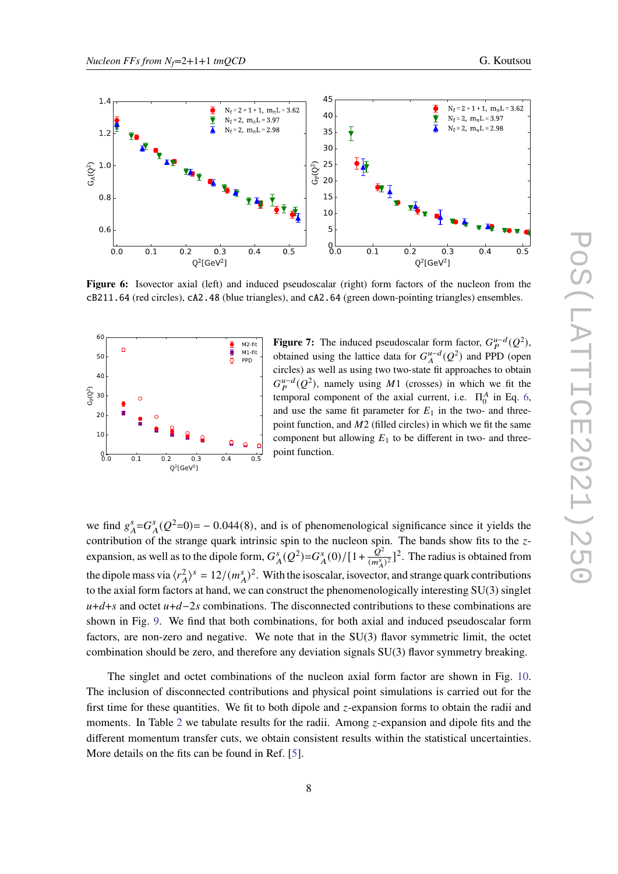<span id="page-7-0"></span>

Figure 6: Isovector axial (left) and induced pseudoscalar (right) form factors of the nucleon from the cB211.64 (red circles), cA2.48 (blue triangles), and cA2.64 (green down-pointing triangles) ensembles.

<span id="page-7-1"></span>

**Figure 7:** The induced pseudoscalar form factor,  $G_P^{u-d}(Q^2)$ , obtained using the lattice data for  $G_A^{u-d}(Q^2)$  and PPD (open circles) as well as using two two-state fit approaches to obtain  $G_P^{u-d}(Q^2)$ , namely using M1 (crosses) in which we fit the temporal component of the axial current, i.e.  $\Pi_0^A$  in Eq. [6,](#page-3-1) and use the same fit parameter for  $E_1$  in the two- and threepoint function, and  $M2$  (filled circles) in which we fit the same component but allowing  $E_1$  to be different in two- and threepoint function.

we find  $g_A^s = G_A^s(Q^2=0) = -0.044(8)$ , and is of phenomenological significance since it yields the contribution of the strange quark intrinsic spin to the nucleon spin. The bands show fits to the  $z$ expansion, as well as to the dipole form,  $G_A^s(Q^2) = G_A^s(0)/[1 + \frac{Q^2}{(m_s^s)}]$  $\frac{Q^2}{(m_A^s)^2}$ ]<sup>2</sup>. The radius is obtained from the dipole mass via  $\langle r_A^2 \rangle^s = 12/(m_A^s)^2$ . With the isoscalar, isovector, and strange quark contributions to the axial form factors at hand, we can construct the phenomenologically interesting SU(3) singlet  $u+d+s$  and octet  $u+d-2s$  combinations. The disconnected contributions to these combinations are shown in Fig. [9.](#page-8-1) We find that both combinations, for both axial and induced pseudoscalar form factors, are non-zero and negative. We note that in the SU(3) flavor symmetric limit, the octet combination should be zero, and therefore any deviation signals SU(3) flavor symmetry breaking.

The singlet and octet combinations of the nucleon axial form factor are shown in Fig. [10.](#page-9-0) The inclusion of disconnected contributions and physical point simulations is carried out for the first time for these quantities. We fit to both dipole and  $z$ -expansion forms to obtain the radii and moments. In Table [2](#page-9-1) we tabulate results for the radii. Among  $z$ -expansion and dipole fits and the different momentum transfer cuts, we obtain consistent results within the statistical uncertainties. More details on the fits can be found in Ref. [\[5\]](#page-10-4).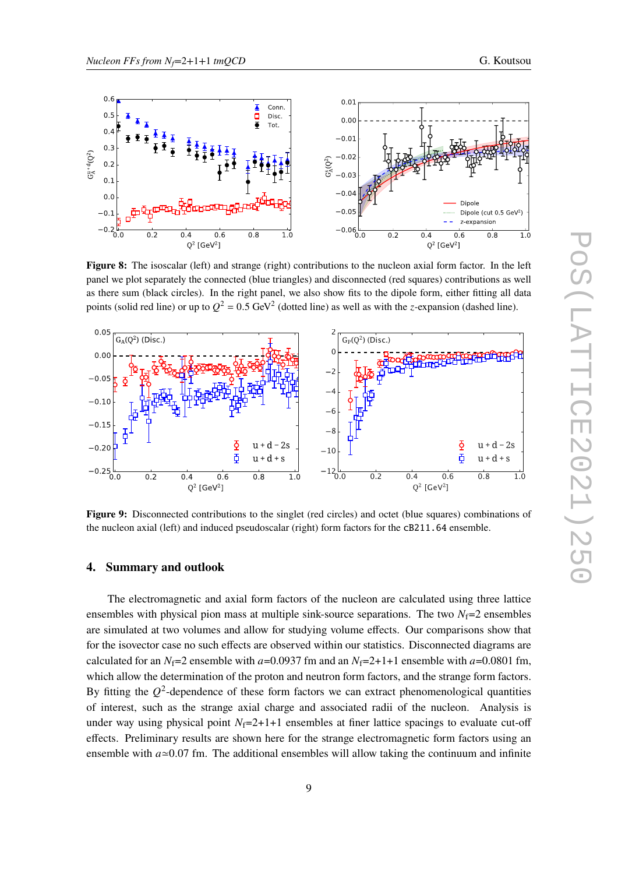<span id="page-8-0"></span>

**Figure 8:** The isoscalar (left) and strange (right) contributions to the nucleon axial form factor. In the left panel we plot separately the connected (blue triangles) and disconnected (red squares) contributions as well as there sum (black circles). In the right panel, we also show fits to the dipole form, either fitting all data points (solid red line) or up to  $Q^2 = 0.5$  GeV<sup>2</sup> (dotted line) as well as with the *z*-expansion (dashed line).

<span id="page-8-1"></span>

**Figure 9:** Disconnected contributions to the singlet (red circles) and octet (blue squares) combinations of the nucleon axial (left) and induced pseudoscalar (right) form factors for the cB211.64 ensemble.

#### **4. Summary and outlook**

The electromagnetic and axial form factors of the nucleon are calculated using three lattice ensembles with physical pion mass at multiple sink-source separations. The two  $N_f=2$  ensembles are simulated at two volumes and allow for studying volume effects. Our comparisons show that for the isovector case no such effects are observed within our statistics. Disconnected diagrams are calculated for an  $N_f=2$  ensemble with  $a=0.0937$  fm and an  $N_f=2+1+1$  ensemble with  $a=0.0801$  fm, which allow the determination of the proton and neutron form factors, and the strange form factors. By fitting the  $O^2$ -dependence of these form factors we can extract phenomenological quantities of interest, such as the strange axial charge and associated radii of the nucleon. Analysis is under way using physical point  $N_f=2+1+1$  ensembles at finer lattice spacings to evaluate cut-off effects. Preliminary results are shown here for the strange electromagnetic form factors using an ensemble with  $a \approx 0.07$  fm. The additional ensembles will allow taking the continuum and infinite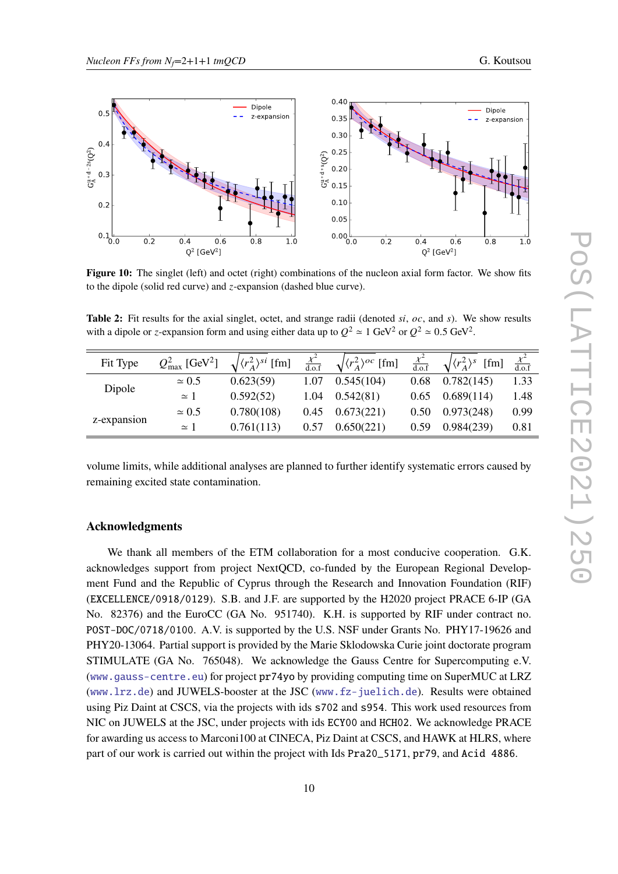<span id="page-9-0"></span>

**Figure 10:** The singlet (left) and octet (right) combinations of the nucleon axial form factor. We show fits to the dipole (solid red curve) and  $z$ -expansion (dashed blue curve).

<span id="page-9-1"></span>Table 2: Fit results for the axial singlet, octet, and strange radii (denoted si, oc, and s). We show results with a dipole or z-expansion form and using either data up to  $Q^2 \approx 1$  GeV<sup>2</sup> or  $Q^2 \approx 0.5$  GeV<sup>2</sup>.

| Fit Type    | $Q^2_{\text{max}}$ [GeV <sup>2</sup> ] | $\sqrt{\langle r_A^2 \rangle^{si}}$ [fm] | $\frac{\chi^2}{d.o.f}$ | $\sqrt{\langle r_A^2 \rangle^{oc}}$ [fm] |      | $\sqrt{(r_A^2)^s}$<br>[fm] | $\frac{\chi^2}{d.o.f}$ |
|-------------|----------------------------------------|------------------------------------------|------------------------|------------------------------------------|------|----------------------------|------------------------|
|             | $\simeq 0.5$                           | 0.623(59)                                | 1.07                   | 0.545(104)                               | 0.68 | 0.782(145)                 | 1.33                   |
| Dipole      | $\simeq$ 1                             | 0.592(52)                                | 1.04                   | 0.542(81)                                | 0.65 | 0.689(114)                 | 1.48                   |
| z-expansion | $\simeq 0.5$                           | 0.780(108)                               | 0.45                   | 0.673(221)                               | 0.50 | 0.973(248)                 | 0.99                   |
|             | $\simeq$ 1                             | 0.761(113)                               | 0.57                   | 0.650(221)                               | 0.59 | 0.984(239)                 | 0.81                   |

volume limits, while additional analyses are planned to further identify systematic errors caused by remaining excited state contamination.

# **Acknowledgments**

We thank all members of the ETM collaboration for a most conducive cooperation. G.K. acknowledges support from project NextQCD, co-funded by the European Regional Development Fund and the Republic of Cyprus through the Research and Innovation Foundation (RIF) (EXCELLENCE/0918/0129). S.B. and J.F. are supported by the H2020 project PRACE 6-IP (GA No. 82376) and the EuroCC (GA No. 951740). K.H. is supported by RIF under contract no. POST-DOC/0718/0100. A.V. is supported by the U.S. NSF under Grants No. PHY17-19626 and PHY20-13064. Partial support is provided by the Marie Sklodowska Curie joint doctorate program STIMULATE (GA No. 765048). We acknowledge the Gauss Centre for Supercomputing e.V. (<www.gauss-centre.eu>) for project pr74yo by providing computing time on SuperMUC at LRZ (<www.lrz.de>) and JUWELS-booster at the JSC (<www.fz-juelich.de>). Results were obtained using Piz Daint at CSCS, via the projects with ids s702 and s954. This work used resources from NIC on JUWELS at the JSC, under projects with ids ECY00 and HCH02. We acknowledge PRACE for awarding us access to Marconi100 at CINECA, Piz Daint at CSCS, and HAWK at HLRS, where part of our work is carried out within the project with Ids Pra20\_5171, pr79, and Acid 4886.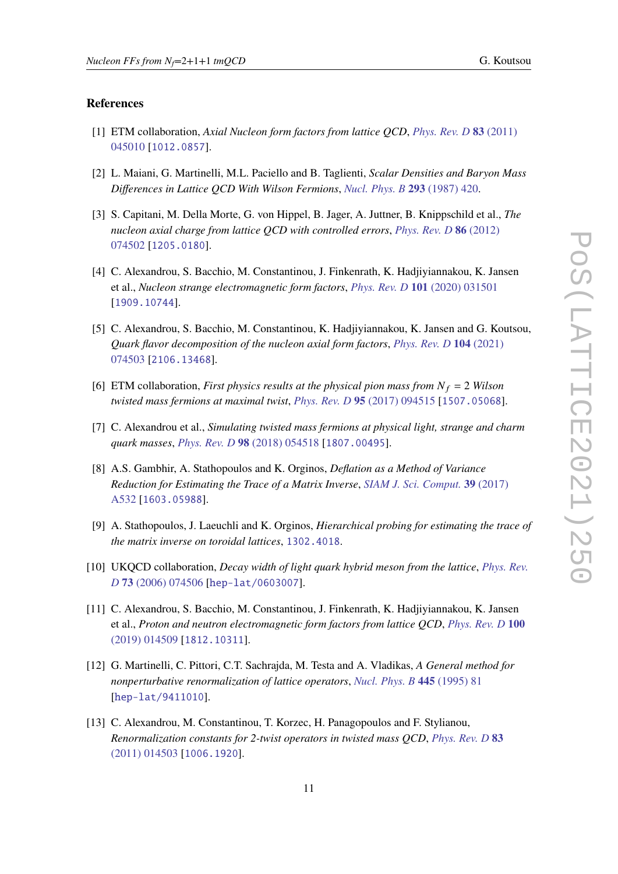## **References**

- <span id="page-10-0"></span>[1] ETM collaboration, *Axial Nucleon form factors from lattice QCD*, *[Phys. Rev. D](https://doi.org/10.1103/PhysRevD.83.045010)* **83** (2011) [045010](https://doi.org/10.1103/PhysRevD.83.045010) [[1012.0857](https://arxiv.org/abs/1012.0857)].
- <span id="page-10-1"></span>[2] L. Maiani, G. Martinelli, M.L. Paciello and B. Taglienti, *Scalar Densities and Baryon Mass Differences in Lattice QCD With Wilson Fermions*, *[Nucl. Phys. B](https://doi.org/10.1016/0550-3213(87)90078-2)* **293** (1987) 420.
- <span id="page-10-2"></span>[3] S. Capitani, M. Della Morte, G. von Hippel, B. Jager, A. Juttner, B. Knippschild et al., *The nucleon axial charge from lattice QCD with controlled errors*, *[Phys. Rev. D](https://doi.org/10.1103/PhysRevD.86.074502)* **86** (2012) [074502](https://doi.org/10.1103/PhysRevD.86.074502) [[1205.0180](https://arxiv.org/abs/1205.0180)].
- <span id="page-10-3"></span>[4] C. Alexandrou, S. Bacchio, M. Constantinou, J. Finkenrath, K. Hadjiyiannakou, K. Jansen et al., *Nucleon strange electromagnetic form factors*, *[Phys. Rev. D](https://doi.org/10.1103/PhysRevD.101.031501)* **101** (2020) 031501 [[1909.10744](https://arxiv.org/abs/1909.10744)].
- <span id="page-10-4"></span>[5] C. Alexandrou, S. Bacchio, M. Constantinou, K. Hadjiyiannakou, K. Jansen and G. Koutsou, *Quark flavor decomposition of the nucleon axial form factors*, *[Phys. Rev. D](https://doi.org/10.1103/PhysRevD.104.074503)* **104** (2021) [074503](https://doi.org/10.1103/PhysRevD.104.074503) [[2106.13468](https://arxiv.org/abs/2106.13468)].
- <span id="page-10-5"></span>[6] ETM collaboration, *First physics results at the physical pion mass from*  $N_f = 2$  *Wilson twisted mass fermions at maximal twist*, *[Phys. Rev. D](https://doi.org/10.1103/PhysRevD.95.094515)* **95** (2017) 094515 [[1507.05068](https://arxiv.org/abs/1507.05068)].
- <span id="page-10-6"></span>[7] C. Alexandrou et al., *Simulating twisted mass fermions at physical light, strange and charm quark masses*, *[Phys. Rev. D](https://doi.org/10.1103/PhysRevD.98.054518)* **98** (2018) 054518 [[1807.00495](https://arxiv.org/abs/1807.00495)].
- <span id="page-10-7"></span>[8] A.S. Gambhir, A. Stathopoulos and K. Orginos, *Deflation as a Method of Variance Reduction for Estimating the Trace of a Matrix Inverse*, *[SIAM J. Sci. Comput.](https://doi.org/10.1137/16M1066361)* **39** (2017) [A532](https://doi.org/10.1137/16M1066361) [[1603.05988](https://arxiv.org/abs/1603.05988)].
- <span id="page-10-8"></span>[9] A. Stathopoulos, J. Laeuchli and K. Orginos, *Hierarchical probing for estimating the trace of the matrix inverse on toroidal lattices*, [1302.4018](https://arxiv.org/abs/1302.4018).
- <span id="page-10-9"></span>[10] UKQCD collaboration, *Decay width of light quark hybrid meson from the lattice*, *[Phys. Rev.](https://doi.org/10.1103/PhysRevD.73.074506) D* **73** [\(2006\) 074506](https://doi.org/10.1103/PhysRevD.73.074506) [[hep-lat/0603007](https://arxiv.org/abs/hep-lat/0603007)].
- <span id="page-10-10"></span>[11] C. Alexandrou, S. Bacchio, M. Constantinou, J. Finkenrath, K. Hadjiyiannakou, K. Jansen et al., *Proton and neutron electromagnetic form factors from lattice QCD*, *[Phys. Rev. D](https://doi.org/10.1103/PhysRevD.100.014509)* **100** [\(2019\) 014509](https://doi.org/10.1103/PhysRevD.100.014509) [[1812.10311](https://arxiv.org/abs/1812.10311)].
- <span id="page-10-11"></span>[12] G. Martinelli, C. Pittori, C.T. Sachrajda, M. Testa and A. Vladikas, *A General method for nonperturbative renormalization of lattice operators*, *[Nucl. Phys. B](https://doi.org/10.1016/0550-3213(95)00126-D)* **445** (1995) 81 [[hep-lat/9411010](https://arxiv.org/abs/hep-lat/9411010)].
- <span id="page-10-12"></span>[13] C. Alexandrou, M. Constantinou, T. Korzec, H. Panagopoulos and F. Stylianou, *Renormalization constants for 2-twist operators in twisted mass QCD*, *[Phys. Rev. D](https://doi.org/10.1103/PhysRevD.83.014503)* **83** [\(2011\) 014503](https://doi.org/10.1103/PhysRevD.83.014503) [[1006.1920](https://arxiv.org/abs/1006.1920)].